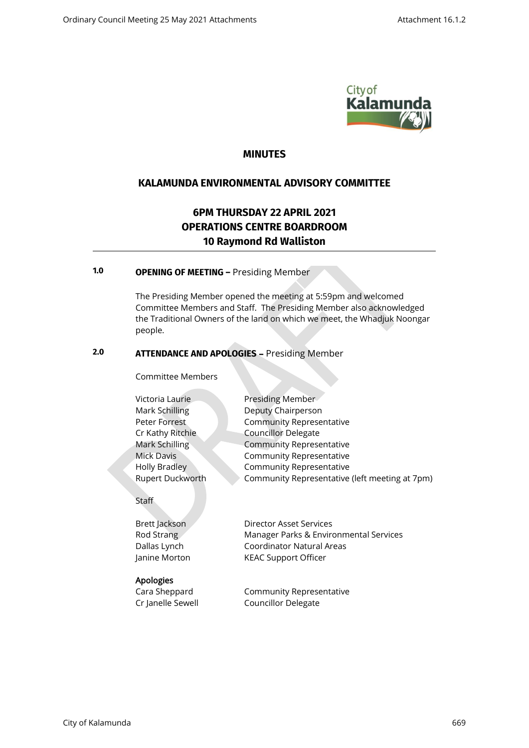

# **MINUTES**

# **KALAMUNDA ENVIRONMENTAL ADVISORY COMMITTEE**

# **6PM THURSDAY 22 APRIL 2021 OPERATIONS CENTRE BOARDROOM 10 Raymond Rd Walliston**

# **1.0 OPENING OF MEETING –** Presiding Member

 The Presiding Member opened the meeting at 5:59pm and welcomed Committee Members and Staff. The Presiding Member also acknowledged the Traditional Owners of the land on which we meet, the Whadjuk Noongar people.

# **2.0 ATTENDANCE AND APOLOGIES** – Presiding Member

Committee Members

| Victoria Laurie      | <b>Presiding Member</b>                        |
|----------------------|------------------------------------------------|
| Mark Schilling       | Deputy Chairperson                             |
| Peter Forrest        | <b>Community Representative</b>                |
| Cr Kathy Ritchie     | <b>Councillor Delegate</b>                     |
| Mark Schilling       | <b>Community Representative</b>                |
| Mick Davis           | <b>Community Representative</b>                |
| <b>Holly Bradley</b> | <b>Community Representative</b>                |
| Rupert Duckworth     | Community Representative (left meeting at 7pm) |
|                      |                                                |

Staff

#### Apologies

Brett Jackson Director Asset Services Rod Strang Manager Parks & Environmental Services Dallas Lynch Coordinator Natural Areas Janine Morton KEAC Support Officer

Cara Sheppard Community Representative Cr Janelle Sewell Councillor Delegate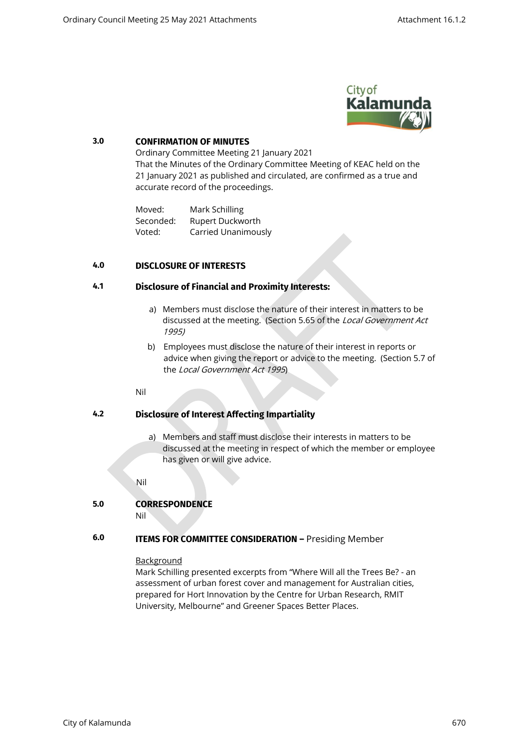

### **3.0 CONFIRMATION OF MINUTES**

Ordinary Committee Meeting 21 January 2021 That the Minutes of the Ordinary Committee Meeting of KEAC held on the 21 January 2021 as published and circulated, are confirmed as a true and accurate record of the proceedings.

Moved: Mark Schilling Seconded: Rupert Duckworth Voted: Carried Unanimously

# **4.0 DISCLOSURE OF INTERESTS**

# **4.1 Disclosure of Financial and Proximity Interests:**

- a) Members must disclose the nature of their interest in matters to be discussed at the meeting. (Section 5.65 of the Local Government Act 1995)
- b) Employees must disclose the nature of their interest in reports or advice when giving the report or advice to the meeting. (Section 5.7 of the Local Government Act 1995)

#### Nil

# **4.2 Disclosure of Interest Affecting Impartiality**

a) Members and staff must disclose their interests in matters to be discussed at the meeting in respect of which the member or employee has given or will give advice.

Nil

# **5.0 CORRESPONDENCE**

Nil

# **6.0 ITEMS FOR COMMITTEE CONSIDERATION –** Presiding Member

#### Background

Mark Schilling presented excerpts from "Where Will all the Trees Be? - an assessment of urban forest cover and management for Australian cities, prepared for Hort Innovation by the Centre for Urban Research, RMIT University, Melbourne" and Greener Spaces Better Places.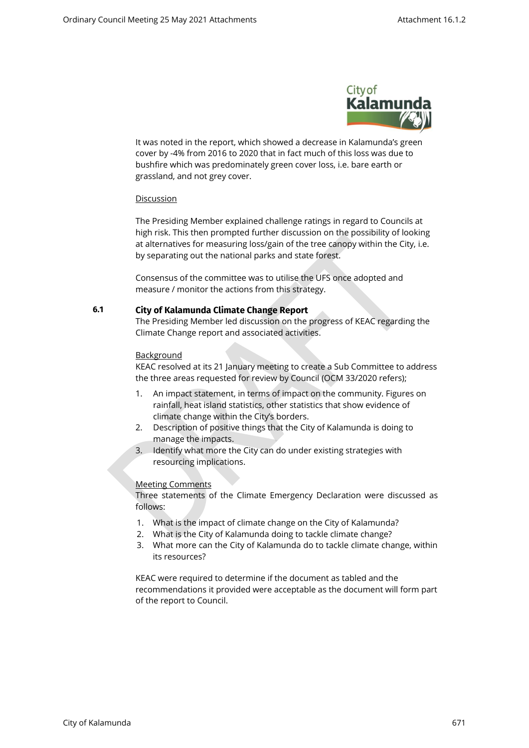

It was noted in the report, which showed a decrease in Kalamunda's green cover by -4% from 2016 to 2020 that in fact much of this loss was due to bushfire which was predominately green cover loss, i.e. bare earth or grassland, and not grey cover.

#### **Discussion**

The Presiding Member explained challenge ratings in regard to Councils at high risk. This then prompted further discussion on the possibility of looking at alternatives for measuring loss/gain of the tree canopy within the City, i.e. by separating out the national parks and state forest.

Consensus of the committee was to utilise the UFS once adopted and measure / monitor the actions from this strategy.

# **6.1 City of Kalamunda Climate Change Report**

The Presiding Member led discussion on the progress of KEAC regarding the Climate Change report and associated activities.

#### Background

KEAC resolved at its 21 January meeting to create a Sub Committee to address the three areas requested for review by Council (OCM 33/2020 refers);

- 1. An impact statement, in terms of impact on the community. Figures on rainfall, heat island statistics, other statistics that show evidence of climate change within the City's borders.
- 2. Description of positive things that the City of Kalamunda is doing to manage the impacts.
- 3. Identify what more the City can do under existing strategies with resourcing implications.

#### Meeting Comments

Three statements of the Climate Emergency Declaration were discussed as follows:

- 1. What is the impact of climate change on the City of Kalamunda?
- 2. What is the City of Kalamunda doing to tackle climate change?
- 3. What more can the City of Kalamunda do to tackle climate change, within its resources?

KEAC were required to determine if the document as tabled and the recommendations it provided were acceptable as the document will form part of the report to Council.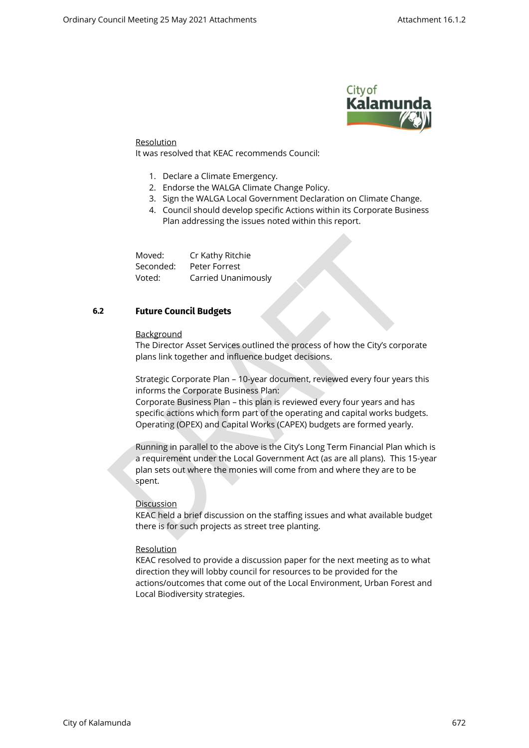

#### Resolution

It was resolved that KEAC recommends Council:

- 1. Declare a Climate Emergency.
- 2. Endorse the WALGA Climate Change Policy.
- 3. Sign the WALGA Local Government Declaration on Climate Change.
- 4. Council should develop specific Actions within its Corporate Business Plan addressing the issues noted within this report.

Moved: Cr Kathy Ritchie Seconded: Peter Forrest Voted: Carried Unanimously

# **6.2 Future Council Budgets**

#### Background

The Director Asset Services outlined the process of how the City's corporate plans link together and influence budget decisions.

Strategic Corporate Plan – 10-year document, reviewed every four years this informs the Corporate Business Plan:

Corporate Business Plan – this plan is reviewed every four years and has specific actions which form part of the operating and capital works budgets. Operating (OPEX) and Capital Works (CAPEX) budgets are formed yearly.

Running in parallel to the above is the City's Long Term Financial Plan which is a requirement under the Local Government Act (as are all plans). This 15-year plan sets out where the monies will come from and where they are to be spent.

#### Discussion

KEAC held a brief discussion on the staffing issues and what available budget there is for such projects as street tree planting.

#### **Resolution**

KEAC resolved to provide a discussion paper for the next meeting as to what direction they will lobby council for resources to be provided for the actions/outcomes that come out of the Local Environment, Urban Forest and Local Biodiversity strategies.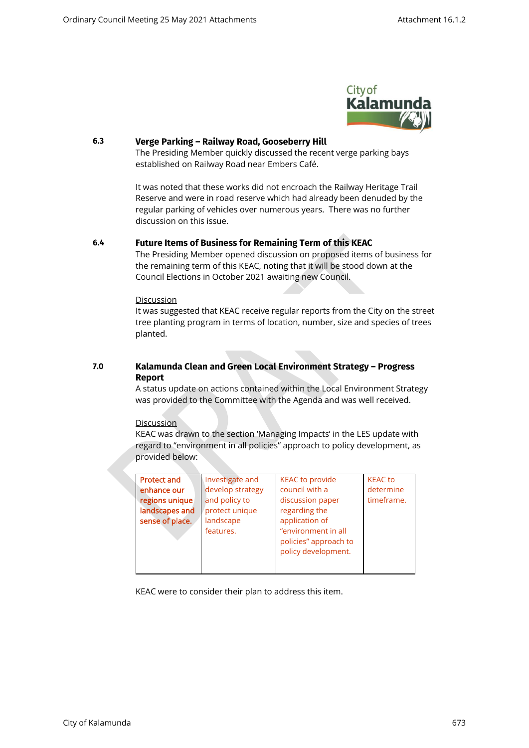

#### **6.3 Verge Parking – Railway Road, Gooseberry Hill**

The Presiding Member quickly discussed the recent verge parking bays established on Railway Road near Embers Café.

It was noted that these works did not encroach the Railway Heritage Trail Reserve and were in road reserve which had already been denuded by the regular parking of vehicles over numerous years. There was no further discussion on this issue.

#### **6.4 Future Items of Business for Remaining Term of this KEAC**

The Presiding Member opened discussion on proposed items of business for the remaining term of this KEAC, noting that it will be stood down at the Council Elections in October 2021 awaiting new Council.

#### Discussion

It was suggested that KEAC receive regular reports from the City on the street tree planting program in terms of location, number, size and species of trees planted.

# **7.0 Kalamunda Clean and Green Local Environment Strategy – Progress Report**

A status update on actions contained within the Local Environment Strategy was provided to the Committee with the Agenda and was well received.

#### **Discussion**

KEAC was drawn to the section 'Managing Impacts' in the LES update with regard to "environment in all policies" approach to policy development, as provided below:

| <b>Protect and</b> | <b>KEAC to provide</b> |
|--------------------|------------------------|
| Investigate and    | <b>KEAC</b> to         |
| develop strategy   | council with a         |
| enhance our        | determine              |
| and policy to      | discussion paper       |
| regions unique     | timeframe.             |
| landscapes and     | regarding the          |
| protect unique     | application of         |
| sense of place.    | "environment in all    |
| landscape          | policies" approach to  |
| features.          | policy development.    |

KEAC were to consider their plan to address this item.